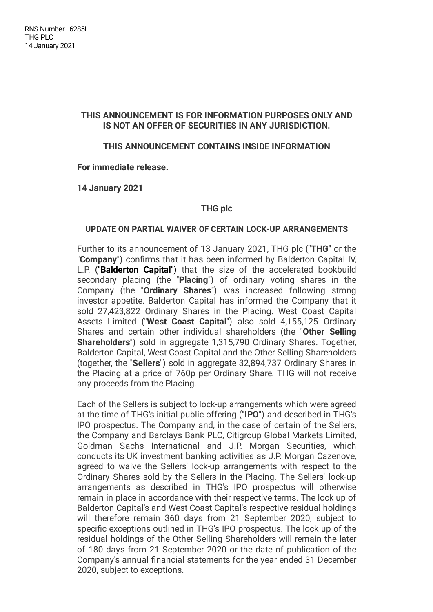## **THIS ANNOUNCEMENT IS FOR INFORMATION PURPOSES ONLY AND IS NOT AN OFFER OF SECURITIES IN ANY JURISDICTION.**

## **THIS ANNOUNCEMENT CONTAINS INSIDE INFORMATION**

**For immediate release.**

**14 January 2021**

#### **THG plc**

#### **UPDATE ON PARTIAL WAIVER OF CERTAIN LOCK-UP ARRANGEMENTS**

Further to its announcement of 13 January 2021, THG plc ("**THG**" or the "**Company**") confirms that it has been informed by Balderton Capital IV, L.P. ("**Balderton Capital**") that the size of the accelerated bookbuild secondary placing (the "**Placing**") of ordinary voting shares in the Company (the "**Ordinary Shares**") was increased following strong investor appetite. Balderton Capital has informed the Company that it sold 27,423,822 Ordinary Shares in the Placing. West Coast Capital Assets Limited ("**West Coast Capital**") also sold 4,155,125 Ordinary Shares and certain other individual shareholders (the "**Other Selling Shareholders**") sold in aggregate 1,315,790 Ordinary Shares. Together, Balderton Capital, West Coast Capital and the Other Selling Shareholders (together, the "**Sellers**") sold in aggregate 32,894,737 Ordinary Shares in the Placing at a price of 760p per Ordinary Share. THG will not receive any proceeds from the Placing.

Each of the Sellers is subject to lock-up arrangements which were agreed at the time of THG's initial public offering ("**IPO**") and described in THG's IPO prospectus. The Company and, in the case of certain of the Sellers, the Company and Barclays Bank PLC, Citigroup Global Markets Limited, Goldman Sachs International and J.P. Morgan Securities, which conducts its UK investment banking activities as J.P. Morgan Cazenove, agreed to waive the Sellers' lock-up arrangements with respect to the Ordinary Shares sold by the Sellers in the Placing. The Sellers' lock-up arrangements as described in THG's IPO prospectus will otherwise remain in place in accordance with their respective terms. The lock up of Balderton Capital's and West Coast Capital's respective residual holdings will therefore remain 360 days from 21 September 2020, subject to specific exceptions outlined in THG's IPO prospectus. The lock up of the residual holdings of the Other Selling Shareholders will remain the later of 180 days from 21 September 2020 or the date of publication of the Company's annual financial statements for the year ended 31 December 2020, subject to exceptions.